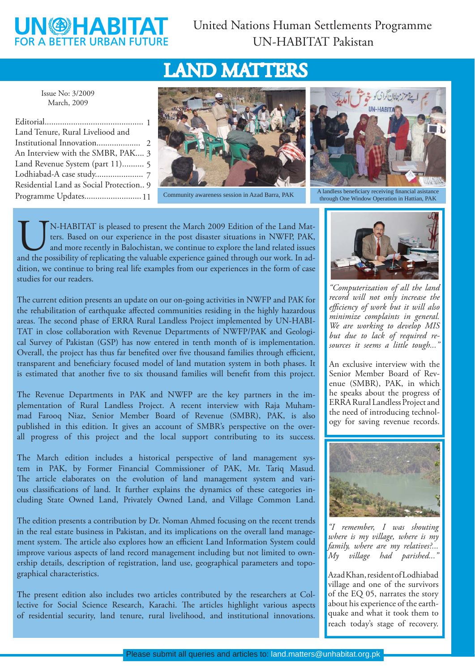## **UN@HABITA FOR A BETTER URBAN FUTURE**

# LAND MATTERS

Issue No: 3/2009 March, 2009

| Land Tenure, Rural Liveliood and        |  |
|-----------------------------------------|--|
|                                         |  |
| An Interview with the SMBR, PAK 3       |  |
| Land Revenue System (part 11) 5         |  |
|                                         |  |
| Residential Land as Social Protection 9 |  |
| Programme Updates 11                    |  |



Community awareness session in Azad Barra, PAK



A landless beneficiary receiving financial asistance through One Window Operation in Hattian, PAK

UN-HABITAT is pleased to present the March 2009 Edition of the Land Matters. Based on our experience in the post disaster situations in NWFP, PAK, and more recently in Balochistan, we continue to explore the land related i ters. Based on our experience in the post disaster situations in NWFP, PAK, and more recently in Balochistan, we continue to explore the land related issues dition, we continue to bring real life examples from our experiences in the form of case studies for our readers.

The current edition presents an update on our on-going activities in NWFP and PAK for the rehabilitation of earthquake affected communities residing in the highly hazardous areas. The second phase of ERRA Rural Landless Project implemented by UN-HABI-TAT in close collaboration with Revenue Departments of NWFP/PAK and Geological Survey of Pakistan (GSP) has now entered in tenth month of is implementation. Overall, the project has thus far benefited over five thousand families through efficient, transparent and beneficiary focused model of land mutation system in both phases. It is estimated that another five to six thousand families will benefit from this project.

The Revenue Departments in PAK and NWFP are the key partners in the implementation of Rural Landless Project. A recent interview with Raja Muhammad Farooq Niaz, Senior Member Board of Revenue (SMBR), PAK, is also published in this edition. It gives an account of SMBR's perspective on the overall progress of this project and the local support contributing to its success.

The March edition includes a historical perspective of land management system in PAK, by Former Financial Commissioner of PAK, Mr. Tariq Masud. The article elaborates on the evolution of land management system and various classifications of land. It further explains the dynamics of these categories including State Owned Land, Privately Owned Land, and Village Common Land.

The edition presents a contribution by Dr. Noman Ahmed focusing on the recent trends in the real estate business in Pakistan, and its implications on the overall land management system. The article also explores how an efficient Land Information System could improve various aspects of land record management including but not limited to ownership details, description of registration, land use, geographical parameters and topographical characteristics.

The present edition also includes two articles contributed by the researchers at Collective for Social Science Research, Karachi. The articles highlight various aspects of residential security, land tenure, rural livelihood, and institutional innovations.



*"Computerization of all the land record will not only increase the effi ciency of work but it will also minimize complaints in general. We are working to develop MIS but due to lack of required resources it seems a little tough..."* 

An exclusive interview with the Senior Member Board of Revenue (SMBR), PAK, in which he speaks about the progress of ERRA Rural Landless Project and the need of introducing technology for saving revenue records.



*"I remember, I was shouting where is my village, where is my family, where are my relatives?... My village had parished..."*

Azad Khan, resident of Lodhiabad village and one of the survivors of the EQ 05, narrates the story about his experience of the earthquake and what it took them to reach today's stage of recovery.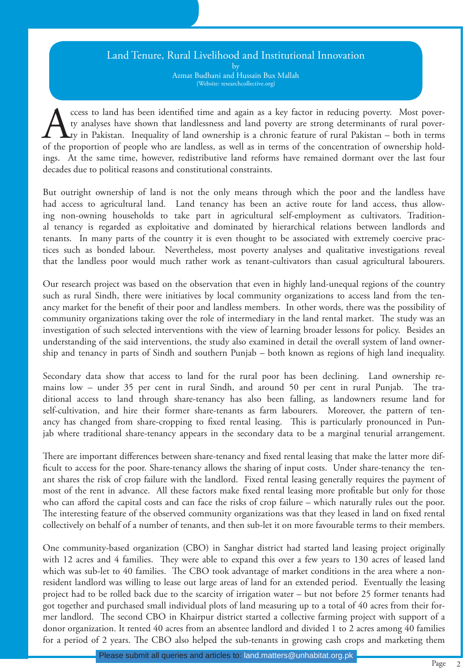## Land Tenure, Rural Livelihood and Institutional Innovation

by Azmat Budhani and Hussain Bux Mallah {Website: researchcollective.org}

cess to land has been identified time and again as a key factor in reducing poverty. Most pover-<br>ty analyses have shown that landlessness and land poverty are strong determinants of rural pover-<br>of the proportion of people ty analyses have shown that landlessness and land poverty are strong determinants of rural poverty in Pakistan. Inequality of land ownership is a chronic feature of rural Pakistan – both in terms of the proportion of people who are landless, as well as in terms of the concentration of ownership holdings. At the same time, however, redistributive land reforms have remained dormant over the last four decades due to political reasons and constitutional constraints.

But outright ownership of land is not the only means through which the poor and the landless have had access to agricultural land. Land tenancy has been an active route for land access, thus allowing non-owning households to take part in agricultural self-employment as cultivators. Traditional tenancy is regarded as exploitative and dominated by hierarchical relations between landlords and tenants. In many parts of the country it is even thought to be associated with extremely coercive practices such as bonded labour. Nevertheless, most poverty analyses and qualitative investigations reveal that the landless poor would much rather work as tenant-cultivators than casual agricultural labourers.

Our research project was based on the observation that even in highly land-unequal regions of the country such as rural Sindh, there were initiatives by local community organizations to access land from the tenancy market for the benefit of their poor and landless members. In other words, there was the possibility of community organizations taking over the role of intermediary in the land rental market. The study was an investigation of such selected interventions with the view of learning broader lessons for policy. Besides an understanding of the said interventions, the study also examined in detail the overall system of land ownership and tenancy in parts of Sindh and southern Punjab – both known as regions of high land inequality.

Secondary data show that access to land for the rural poor has been declining. Land ownership remains low – under 35 per cent in rural Sindh, and around 50 per cent in rural Punjab. The traditional access to land through share-tenancy has also been falling, as landowners resume land for self-cultivation, and hire their former share-tenants as farm labourers. Moreover, the pattern of tenancy has changed from share-cropping to fixed rental leasing. This is particularly pronounced in Punjab where traditional share-tenancy appears in the secondary data to be a marginal tenurial arrangement.

There are important differences between share-tenancy and fixed rental leasing that make the latter more difficult to access for the poor. Share-tenancy allows the sharing of input costs. Under share-tenancy the tenant shares the risk of crop failure with the landlord. Fixed rental leasing generally requires the payment of most of the rent in advance. All these factors make fixed rental leasing more profitable but only for those who can afford the capital costs and can face the risks of crop failure – which naturally rules out the poor. The interesting feature of the observed community organizations was that they leased in land on fixed rental collectively on behalf of a number of tenants, and then sub-let it on more favourable terms to their members.

One community-based organization (CBO) in Sanghar district had started land leasing project originally with 12 acres and 4 families. They were able to expand this over a few years to 130 acres of leased land which was sub-let to 40 families. The CBO took advantage of market conditions in the area where a nonresident landlord was willing to lease out large areas of land for an extended period. Eventually the leasing project had to be rolled back due to the scarcity of irrigation water – but not before 25 former tenants had got together and purchased small individual plots of land measuring up to a total of 40 acres from their former landlord. The second CBO in Khairpur district started a collective farming project with support of a donor organization. It rented 40 acres from an absentee landlord and divided 1 to 2 acres among 40 families for a period of 2 years. The CBO also helped the sub-tenants in growing cash crops and marketing them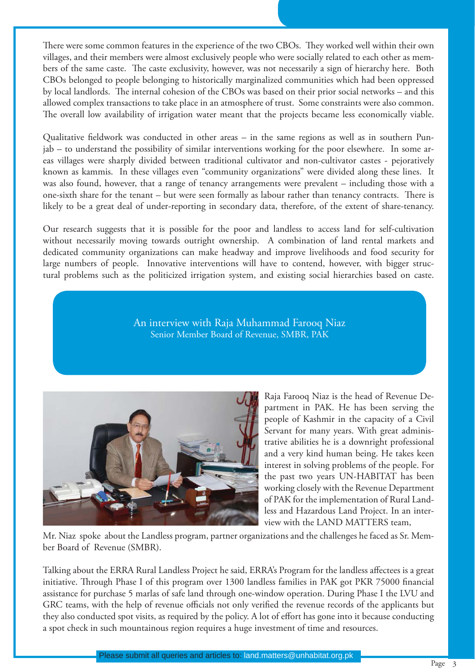There were some common features in the experience of the two CBOs. They worked well within their own villages, and their members were almost exclusively people who were socially related to each other as members of the same caste. The caste exclusivity, however, was not necessarily a sign of hierarchy here. Both CBOs belonged to people belonging to historically marginalized communities which had been oppressed by local landlords. The internal cohesion of the CBOs was based on their prior social networks – and this allowed complex transactions to take place in an atmosphere of trust. Some constraints were also common. The overall low availability of irrigation water meant that the projects became less economically viable.

Qualitative fieldwork was conducted in other areas – in the same regions as well as in southern Punjab – to understand the possibility of similar interventions working for the poor elsewhere. In some areas villages were sharply divided between traditional cultivator and non-cultivator castes - pejoratively known as kammis. In these villages even "community organizations" were divided along these lines. It was also found, however, that a range of tenancy arrangements were prevalent – including those with a one-sixth share for the tenant – but were seen formally as labour rather than tenancy contracts. There is likely to be a great deal of under-reporting in secondary data, therefore, of the extent of share-tenancy.

Our research suggests that it is possible for the poor and landless to access land for self-cultivation without necessarily moving towards outright ownership. A combination of land rental markets and dedicated community organizations can make headway and improve livelihoods and food security for large numbers of people. Innovative interventions will have to contend, however, with bigger structural problems such as the politicized irrigation system, and existing social hierarchies based on caste.

> An interview with Raja Muhammad Farooq Niaz Senior Member Board of Revenue, SMBR, PAK



Raja Farooq Niaz is the head of Revenue Department in PAK. He has been serving the people of Kashmir in the capacity of a Civil Servant for many years. With great administrative abilities he is a downright professional and a very kind human being. He takes keen interest in solving problems of the people. For the past two years UN-HABITAT has been working closely with the Revenue Department of PAK for the implementation of Rural Landless and Hazardous Land Project. In an interview with the LAND MATTERS team,

Mr. Niaz spoke about the Landless program, partner organizations and the challenges he faced as Sr. Member Board of Revenue (SMBR).

Talking about the ERRA Rural Landless Project he said, ERRA's Program for the landless affectees is a great initiative. Through Phase I of this program over 1300 landless families in PAK got PKR 75000 financial assistance for purchase 5 marlas of safe land through one-window operation. During Phase I the LVU and GRC teams, with the help of revenue officials not only verified the revenue records of the applicants but they also conducted spot visits, as required by the policy. A lot of effort has gone into it because conducting a spot check in such mountainous region requires a huge investment of time and resources.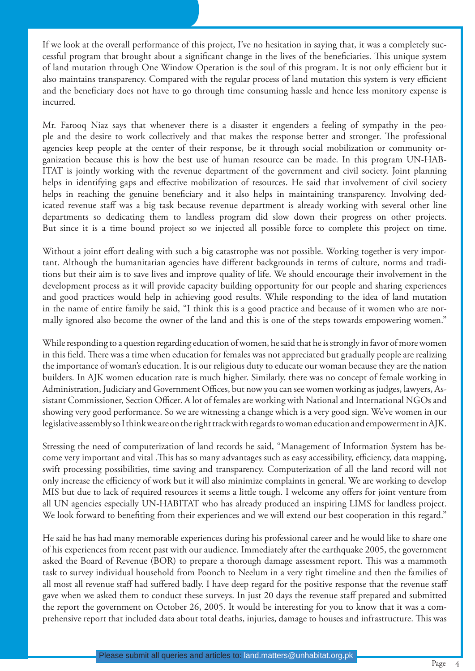If we look at the overall performance of this project, I've no hesitation in saying that, it was a completely successful program that brought about a significant change in the lives of the beneficiaries. This unique system of land mutation through One Window Operation is the soul of this program. It is not only efficient but it also maintains transparency. Compared with the regular process of land mutation this system is very efficient and the beneficiary does not have to go through time consuming hassle and hence less monitory expense is incurred.

Mr. Farooq Niaz says that whenever there is a disaster it engenders a feeling of sympathy in the people and the desire to work collectively and that makes the response better and stronger. The professional agencies keep people at the center of their response, be it through social mobilization or community organization because this is how the best use of human resource can be made. In this program UN-HAB-ITAT is jointly working with the revenue department of the government and civil society. Joint planning helps in identifying gaps and effective mobilization of resources. He said that involvement of civil society helps in reaching the genuine beneficiary and it also helps in maintaining transparency. Involving dedicated revenue staff was a big task because revenue department is already working with several other line departments so dedicating them to landless program did slow down their progress on other projects. But since it is a time bound project so we injected all possible force to complete this project on time.

Without a joint effort dealing with such a big catastrophe was not possible. Working together is very important. Although the humanitarian agencies have different backgrounds in terms of culture, norms and traditions but their aim is to save lives and improve quality of life. We should encourage their involvement in the development process as it will provide capacity building opportunity for our people and sharing experiences and good practices would help in achieving good results. While responding to the idea of land mutation in the name of entire family he said, "I think this is a good practice and because of it women who are normally ignored also become the owner of the land and this is one of the steps towards empowering women."

While responding to a question regarding education of women, he said that he is strongly in favor of more women in this field. There was a time when education for females was not appreciated but gradually people are realizing the importance of woman's education. It is our religious duty to educate our woman because they are the nation builders. In AJK women education rate is much higher. Similarly, there was no concept of female working in Administration, Judiciary and Government Offices, but now you can see women working as judges, lawyers, Assistant Commissioner, Section Officer. A lot of females are working with National and International NGOs and showing very good performance. So we are witnessing a change which is a very good sign. We've women in our legislative assembly so I think we are on the right track with regards to woman education and empowerment in AJK.

Stressing the need of computerization of land records he said, "Management of Information System has become very important and vital . This has so many advantages such as easy accessibility, efficiency, data mapping, swift processing possibilities, time saving and transparency. Computerization of all the land record will not only increase the efficiency of work but it will also minimize complaints in general. We are working to develop MIS but due to lack of required resources it seems a little tough. I welcome any offers for joint venture from all UN agencies especially UN-HABITAT who has already produced an inspiring LIMS for landless project. We look forward to benefiting from their experiences and we will extend our best cooperation in this regard."

He said he has had many memorable experiences during his professional career and he would like to share one of his experiences from recent past with our audience. Immediately after the earthquake 2005, the government asked the Board of Revenue (BOR) to prepare a thorough damage assessment report. This was a mammoth task to survey individual household from Poonch to Neelum in a very tight timeline and then the families of all most all revenue staff had suffered badly. I have deep regard for the positive response that the revenue staff gave when we asked them to conduct these surveys. In just 20 days the revenue staff prepared and submitted the report the government on October 26, 2005. It would be interesting for you to know that it was a comprehensive report that included data about total deaths, injuries, damage to houses and infrastructure. This was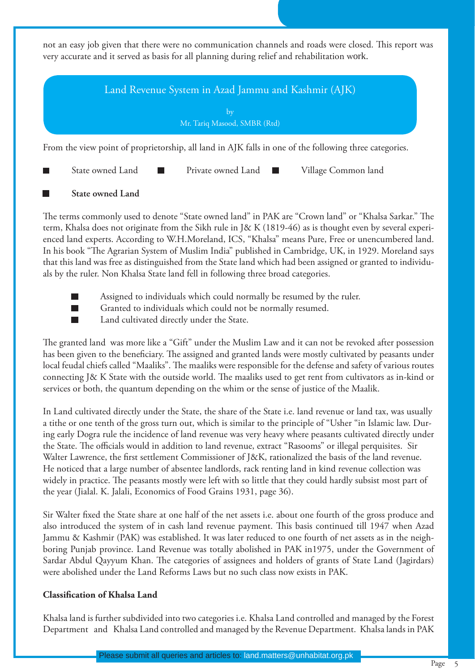not an easy job given that there were no communication channels and roads were closed. This report was very accurate and it served as basis for all planning during relief and rehabilitation work.



#### **State owned Land**

The terms commonly used to denote "State owned land" in PAK are "Crown land" or "Khalsa Sarkar." The term, Khalsa does not originate from the Sikh rule in J& K (1819-46) as is thought even by several experienced land experts. According to W.H.Moreland, ICS, "Khalsa" means Pure, Free or unencumbered land. In his book "The Agrarian System of Muslim India" published in Cambridge, UK, in 1929. Moreland says that this land was free as distinguished from the State land which had been assigned or granted to individuals by the ruler. Non Khalsa State land fell in following three broad categories.

- 
- Assigned to individuals which could normally be resumed by the ruler.
- Granted to individuals which could not be normally resumed.
- Land cultivated directly under the State.

The granted land was more like a "Gift" under the Muslim Law and it can not be revoked after possession has been given to the beneficiary. The assigned and granted lands were mostly cultivated by peasants under local feudal chiefs called "Maaliks". The maaliks were responsible for the defense and safety of various routes connecting J& K State with the outside world. The maaliks used to get rent from cultivators as in-kind or services or both, the quantum depending on the whim or the sense of justice of the Maalik.

In Land cultivated directly under the State, the share of the State i.e. land revenue or land tax, was usually a tithe or one tenth of the gross turn out, which is similar to the principle of "Usher "in Islamic law. During early Dogra rule the incidence of land revenue was very heavy where peasants cultivated directly under the State. The officials would in addition to land revenue, extract "Rasooms" or illegal perquisites. Sir Walter Lawrence, the first settlement Commissioner of J&K, rationalized the basis of the land revenue. He noticed that a large number of absentee landlords, rack renting land in kind revenue collection was widely in practice. The peasants mostly were left with so little that they could hardly subsist most part of the year (Jialal. K. Jalali, Economics of Food Grains 1931, page 36).

Sir Walter fixed the State share at one half of the net assets i.e. about one fourth of the gross produce and also introduced the system of in cash land revenue payment. This basis continued till 1947 when Azad Jammu & Kashmir (PAK) was established. It was later reduced to one fourth of net assets as in the neighboring Punjab province. Land Revenue was totally abolished in PAK in1975, under the Government of Sardar Abdul Qayyum Khan. The categories of assignees and holders of grants of State Land (Jagirdars) were abolished under the Land Reforms Laws but no such class now exists in PAK.

#### **Classifi cation of Khalsa Land**

Khalsa land is further subdivided into two categories i.e. Khalsa Land controlled and managed by the Forest Department and Khalsa Land controlled and managed by the Revenue Department. Khalsa lands in PAK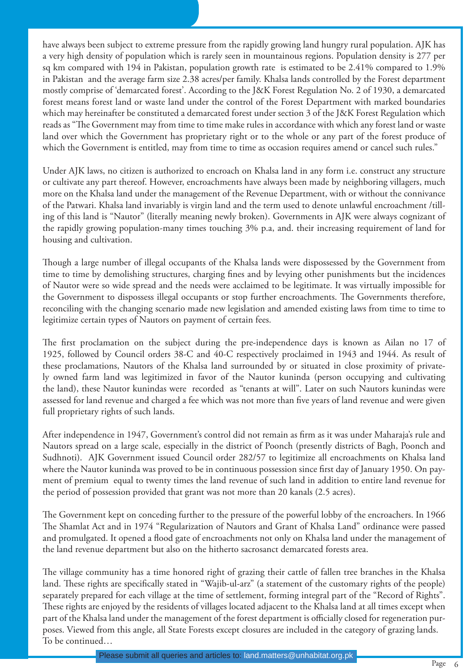have always been subject to extreme pressure from the rapidly growing land hungry rural population. AJK has a very high density of population which is rarely seen in mountainous regions. Population density is 277 per sq km compared with 194 in Pakistan, population growth rate is estimated to be 2.41% compared to 1.9% in Pakistan and the average farm size 2.38 acres/per family. Khalsa lands controlled by the Forest department mostly comprise of 'demarcated forest'. According to the J&K Forest Regulation No. 2 of 1930, a demarcated forest means forest land or waste land under the control of the Forest Department with marked boundaries which may hereinafter be constituted a demarcated forest under section 3 of the J&K Forest Regulation which reads as "The Government may from time to time make rules in accordance with which any forest land or waste land over which the Government has proprietary right or to the whole or any part of the forest produce of which the Government is entitled, may from time to time as occasion requires amend or cancel such rules."

Under AJK laws, no citizen is authorized to encroach on Khalsa land in any form i.e. construct any structure or cultivate any part thereof. However, encroachments have always been made by neighboring villagers, much more on the Khalsa land under the management of the Revenue Department, with or without the connivance of the Patwari. Khalsa land invariably is virgin land and the term used to denote unlawful encroachment /tilling of this land is "Nautor" (literally meaning newly broken). Governments in AJK were always cognizant of the rapidly growing population-many times touching 3% p.a, and. their increasing requirement of land for housing and cultivation.

Though a large number of illegal occupants of the Khalsa lands were dispossessed by the Government from time to time by demolishing structures, charging fines and by levying other punishments but the incidences of Nautor were so wide spread and the needs were acclaimed to be legitimate. It was virtually impossible for the Government to dispossess illegal occupants or stop further encroachments. The Governments therefore, reconciling with the changing scenario made new legislation and amended existing laws from time to time to legitimize certain types of Nautors on payment of certain fees.

The first proclamation on the subject during the pre-independence days is known as Ailan no 17 of 1925, followed by Council orders 38-C and 40-C respectively proclaimed in 1943 and 1944. As result of these proclamations, Nautors of the Khalsa land surrounded by or situated in close proximity of privately owned farm land was legitimized in favor of the Nautor kuninda (person occupying and cultivating the land), these Nautor kunindas were recorded as "tenants at will". Later on such Nautors kunindas were assessed for land revenue and charged a fee which was not more than five years of land revenue and were given full proprietary rights of such lands.

After independence in 1947, Government's control did not remain as firm as it was under Maharaja's rule and Nautors spread on a large scale, especially in the district of Poonch (presently districts of Bagh, Poonch and Sudhnoti). AJK Government issued Council order 282/57 to legitimize all encroachments on Khalsa land where the Nautor kuninda was proved to be in continuous possession since first day of January 1950. On payment of premium equal to twenty times the land revenue of such land in addition to entire land revenue for the period of possession provided that grant was not more than 20 kanals (2.5 acres).

The Government kept on conceding further to the pressure of the powerful lobby of the encroachers. In 1966 The Shamlat Act and in 1974 "Regularization of Nautors and Grant of Khalsa Land" ordinance were passed and promulgated. It opened a flood gate of encroachments not only on Khalsa land under the management of the land revenue department but also on the hitherto sacrosanct demarcated forests area.

The village community has a time honored right of grazing their cattle of fallen tree branches in the Khalsa land. These rights are specifically stated in "Wajib-ul-arz" (a statement of the customary rights of the people) separately prepared for each village at the time of settlement, forming integral part of the "Record of Rights". These rights are enjoyed by the residents of villages located adjacent to the Khalsa land at all times except when part of the Khalsa land under the management of the forest department is officially closed for regeneration purposes. Viewed from this angle, all State Forests except closures are included in the category of grazing lands. To be continued…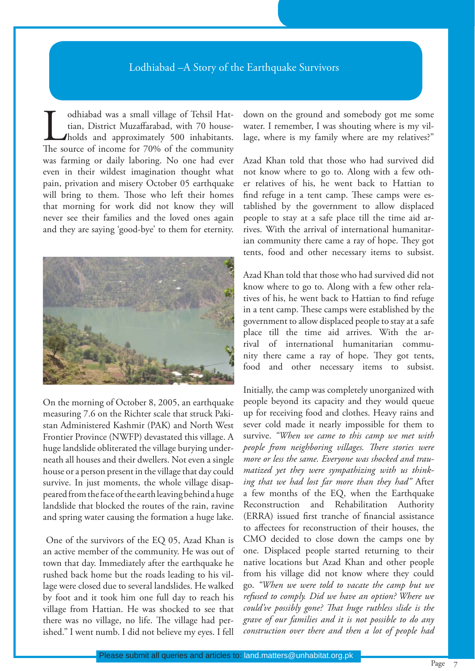#### Lodhiabad –A Story of the Earthquake Survivors

odhiabad was a small village of Tehsil Hattian, District Muzaffarabad, with 70 house-<br>holds and approximately 500 inhabitants.<br>The source of income for 70% of the community tian, District Muzaffarabad, with 70 households and approximately 500 inhabitants. The source of income for 70% of the community was farming or daily laboring. No one had ever even in their wildest imagination thought what pain, privation and misery October 05 earthquake will bring to them. Those who left their homes that morning for work did not know they will never see their families and the loved ones again and they are saying 'good-bye' to them for eternity.



On the morning of October 8, 2005, an earthquake measuring 7.6 on the Richter scale that struck Pakistan Administered Kashmir (PAK) and North West Frontier Province (NWFP) devastated this village. A huge landslide obliterated the village burying underneath all houses and their dwellers. Not even a single house or a person present in the village that day could survive. In just moments, the whole village disappeared from the face of the earth leaving behind a huge landslide that blocked the routes of the rain, ravine and spring water causing the formation a huge lake.

 One of the survivors of the EQ 05, Azad Khan is an active member of the community. He was out of town that day. Immediately after the earthquake he rushed back home but the roads leading to his village were closed due to several landslides. He walked by foot and it took him one full day to reach his village from Hattian. He was shocked to see that there was no village, no life. The village had perished." I went numb. I did not believe my eyes. I fell down on the ground and somebody got me some water. I remember, I was shouting where is my village, where is my family where are my relatives?"

Azad Khan told that those who had survived did not know where to go to. Along with a few other relatives of his, he went back to Hattian to find refuge in a tent camp. These camps were established by the government to allow displaced people to stay at a safe place till the time aid arrives. With the arrival of international humanitarian community there came a ray of hope. They got tents, food and other necessary items to subsist.

Azad Khan told that those who had survived did not know where to go to. Along with a few other relatives of his, he went back to Hattian to find refuge in a tent camp. These camps were established by the government to allow displaced people to stay at a safe place till the time aid arrives. With the arrival of international humanitarian community there came a ray of hope. They got tents, food and other necessary items to subsist.

Initially, the camp was completely unorganized with people beyond its capacity and they would queue up for receiving food and clothes. Heavy rains and sever cold made it nearly impossible for them to survive. *"When we came to this camp we met with people from neighboring villages. Th ere stories were more or less the same. Everyone was shocked and traumatized yet they were sympathizing with us thinking that we had lost far more than they had"* After a few months of the EQ, when the Earthquake Reconstruction and Rehabilitation Authority (ERRA) issued first tranche of financial assistance to affectees for reconstruction of their houses, the CMO decided to close down the camps one by one. Displaced people started returning to their native locations but Azad Khan and other people from his village did not know where they could go. *"When we were told to vacate the camp but we refused to comply. Did we have an option? Where we could've possibly gone? That huge ruthless slide is the grave of our families and it is not possible to do any construction over there and then a lot of people had*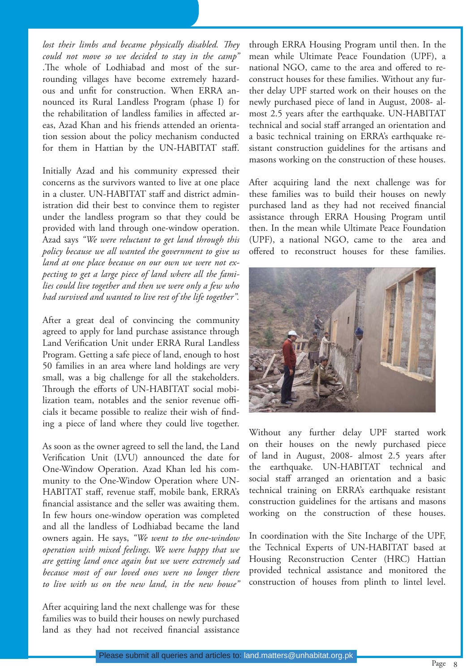lost their limbs and became physically disabled. They *could not move so we decided to stay in the camp"* .The whole of Lodhiabad and most of the surrounding villages have become extremely hazardous and unfit for construction. When ERRA announced its Rural Landless Program (phase I) for the rehabilitation of landless families in affected areas, Azad Khan and his friends attended an orientation session about the policy mechanism conducted for them in Hattian by the UN-HABITAT staff.

Initially Azad and his community expressed their concerns as the survivors wanted to live at one place in a cluster. UN-HABITAT staff and district administration did their best to convince them to register under the landless program so that they could be provided with land through one-window operation. Azad says *"We were reluctant to get land through this policy because we all wanted the government to give us land at one place because on our own we were not expecting to get a large piece of land where all the families could live together and then we were only a few who had survived and wanted to live rest of the life together".*

After a great deal of convincing the community agreed to apply for land purchase assistance through Land Verification Unit under ERRA Rural Landless Program. Getting a safe piece of land, enough to host 50 families in an area where land holdings are very small, was a big challenge for all the stakeholders. Through the efforts of UN-HABITAT social mobilization team, notables and the senior revenue officials it became possible to realize their wish of finding a piece of land where they could live together.

As soon as the owner agreed to sell the land, the Land Verification Unit (LVU) announced the date for One-Window Operation. Azad Khan led his community to the One-Window Operation where UN-HABITAT staff, revenue staff, mobile bank, ERRA's financial assistance and the seller was awaiting them. In few hours one-window operation was completed and all the landless of Lodhiabad became the land owners again. He says, *"We went to the one-window operation with mixed feelings. We were happy that we are getting land once again but we were extremely sad because most of our loved ones were no longer there to live with us on the new land, in the new house"* 

After acquiring land the next challenge was for these families was to build their houses on newly purchased land as they had not received financial assistance through ERRA Housing Program until then. In the mean while Ultimate Peace Foundation (UPF), a national NGO, came to the area and offered to reconstruct houses for these families. Without any further delay UPF started work on their houses on the newly purchased piece of land in August, 2008- almost 2.5 years after the earthquake. UN-HABITAT technical and social staff arranged an orientation and a basic technical training on ERRA's earthquake resistant construction guidelines for the artisans and masons working on the construction of these houses.

After acquiring land the next challenge was for these families was to build their houses on newly purchased land as they had not received financial assistance through ERRA Housing Program until then. In the mean while Ultimate Peace Foundation (UPF), a national NGO, came to the area and offered to reconstruct houses for these families.



Without any further delay UPF started work on their houses on the newly purchased piece of land in August, 2008- almost 2.5 years after the earthquake. UN-HABITAT technical and social staff arranged an orientation and a basic technical training on ERRA's earthquake resistant construction guidelines for the artisans and masons working on the construction of these houses.

In coordination with the Site Incharge of the UPF, the Technical Experts of UN-HABITAT based at Housing Reconstruction Center (HRC) Hattian provided technical assistance and monitored the construction of houses from plinth to lintel level.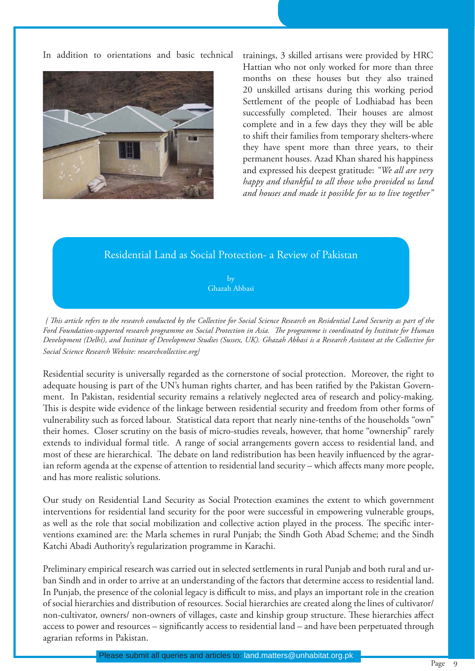In addition to orientations and basic technical trainings, 3 skilled artisans were provided by HRC



Hattian who not only worked for more than three months on these houses but they also trained 20 unskilled artisans during this working period Settlement of the people of Lodhiabad has been successfully completed. Their houses are almost complete and in a few days they they will be able to shift their families from temporary shelters-where they have spent more than three years, to their permanent houses. Azad Khan shared his happiness and expressed his deepest gratitude: *"We all are very happy and thankful to all those who provided us land and houses and made it possible for us to live together"*

### Residential Land as Social Protection- a Review of Pakistan

by Ghazah Abbasi

*{ Th is article refers to the research conducted by the Collective for Social Science Research on Residential Land Security as part of the*  Ford Foundation-supported research programme on Social Protection in Asia. The programme is coordinated by Institute for Human *Development (Delhi), and Institute of Development Studies (Sussex, UK). Ghazah Abbasi is a Research Assistant at the Collective for Social Science Research Website: researchcollective.org}*

Residential security is universally regarded as the cornerstone of social protection. Moreover, the right to adequate housing is part of the UN's human rights charter, and has been ratified by the Pakistan Government. In Pakistan, residential security remains a relatively neglected area of research and policy-making. This is despite wide evidence of the linkage between residential security and freedom from other forms of vulnerability such as forced labour. Statistical data report that nearly nine-tenths of the households "own" their homes. Closer scrutiny on the basis of micro-studies reveals, however, that home "ownership" rarely extends to individual formal title. A range of social arrangements govern access to residential land, and most of these are hierarchical. The debate on land redistribution has been heavily influenced by the agrarian reform agenda at the expense of attention to residential land security – which affects many more people, and has more realistic solutions.

Our study on Residential Land Security as Social Protection examines the extent to which government interventions for residential land security for the poor were successful in empowering vulnerable groups, as well as the role that social mobilization and collective action played in the process. The specific interventions examined are: the Marla schemes in rural Punjab; the Sindh Goth Abad Scheme; and the Sindh Katchi Abadi Authority's regularization programme in Karachi.

Preliminary empirical research was carried out in selected settlements in rural Punjab and both rural and urban Sindh and in order to arrive at an understanding of the factors that determine access to residential land. In Punjab, the presence of the colonial legacy is difficult to miss, and plays an important role in the creation of social hierarchies and distribution of resources. Social hierarchies are created along the lines of cultivator/ non-cultivator, owners/ non-owners of villages, caste and kinship group structure. These hierarchies affect access to power and resources – significantly access to residential land – and have been perpetuated through agrarian reforms in Pakistan.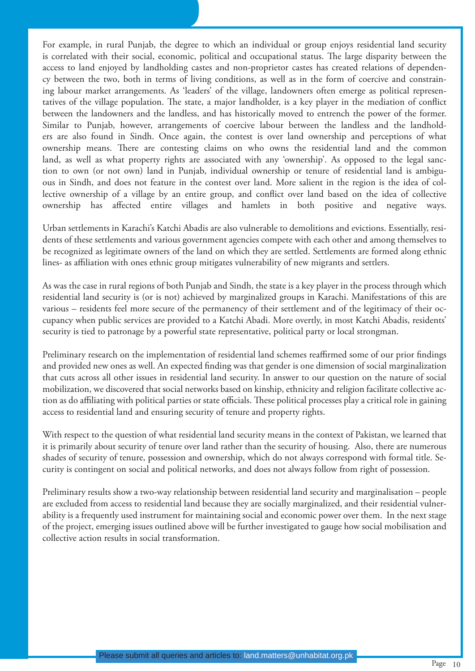For example, in rural Punjab, the degree to which an individual or group enjoys residential land security is correlated with their social, economic, political and occupational status. The large disparity between the access to land enjoyed by landholding castes and non-proprietor castes has created relations of dependency between the two, both in terms of living conditions, as well as in the form of coercive and constraining labour market arrangements. As 'leaders' of the village, landowners often emerge as political representatives of the village population. The state, a major landholder, is a key player in the mediation of conflict between the landowners and the landless, and has historically moved to entrench the power of the former. Similar to Punjab, however, arrangements of coercive labour between the landless and the landholders are also found in Sindh. Once again, the contest is over land ownership and perceptions of what ownership means. There are contesting claims on who owns the residential land and the common land, as well as what property rights are associated with any 'ownership'. As opposed to the legal sanction to own (or not own) land in Punjab, individual ownership or tenure of residential land is ambiguous in Sindh, and does not feature in the contest over land. More salient in the region is the idea of collective ownership of a village by an entire group, and conflict over land based on the idea of collective ownership has affected entire villages and hamlets in both positive and negative ways.

Urban settlements in Karachi's Katchi Abadis are also vulnerable to demolitions and evictions. Essentially, residents of these settlements and various government agencies compete with each other and among themselves to be recognized as legitimate owners of the land on which they are settled. Settlements are formed along ethnic lines- as affiliation with ones ethnic group mitigates vulnerability of new migrants and settlers.

As was the case in rural regions of both Punjab and Sindh, the state is a key player in the process through which residential land security is (or is not) achieved by marginalized groups in Karachi. Manifestations of this are various – residents feel more secure of the permanency of their settlement and of the legitimacy of their occupancy when public services are provided to a Katchi Abadi. More overtly, in most Katchi Abadis, residents' security is tied to patronage by a powerful state representative, political party or local strongman.

Preliminary research on the implementation of residential land schemes reaffirmed some of our prior findings and provided new ones as well. An expected finding was that gender is one dimension of social marginalization that cuts across all other issues in residential land security. In answer to our question on the nature of social mobilization, we discovered that social networks based on kinship, ethnicity and religion facilitate collective action as do affiliating with political parties or state officials. These political processes play a critical role in gaining access to residential land and ensuring security of tenure and property rights.

With respect to the question of what residential land security means in the context of Pakistan, we learned that it is primarily about security of tenure over land rather than the security of housing. Also, there are numerous shades of security of tenure, possession and ownership, which do not always correspond with formal title. Security is contingent on social and political networks, and does not always follow from right of possession.

Preliminary results show a two-way relationship between residential land security and marginalisation – people are excluded from access to residential land because they are socially marginalized, and their residential vulnerability is a frequently used instrument for maintaining social and economic power over them. In the next stage of the project, emerging issues outlined above will be further investigated to gauge how social mobilisation and collective action results in social transformation.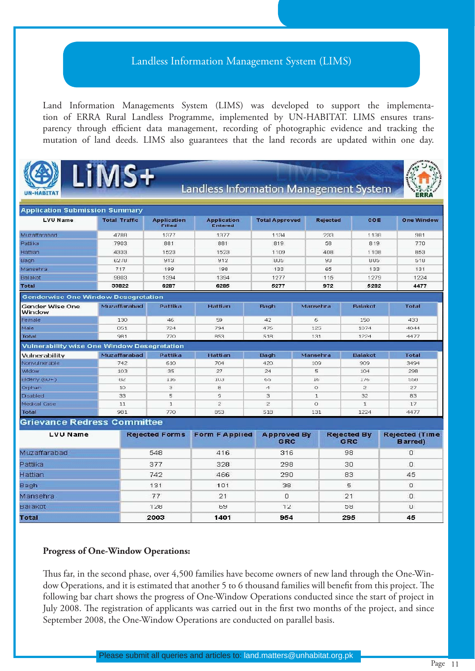## Landless Information Management System (LIMS)

Land Information Managements System (LIMS) was developed to support the implementation of ERRA Rural Landless Programme, implemented by UN-HABITAT. LIMS ensures transparency through efficient data management, recording of photographic evidence and tracking the mutation of land deeds. LIMS also guarantees that the land records are updated within one day.



Bagh

**Total** 

Mansehra

Balakot



**Landless Information Management System** 



| <b>Application Submission Summary</b>              |                      |                                     |                                      |                           |                 |                                  |                                           |
|----------------------------------------------------|----------------------|-------------------------------------|--------------------------------------|---------------------------|-----------------|----------------------------------|-------------------------------------------|
| <b>LVU Name</b>                                    | <b>Total Traffic</b> | <b>Application</b><br><b>Filled</b> | <b>Application</b><br><b>Entered</b> | <b>Total Approved</b>     | <b>Rejected</b> | COE                              | <b>One Window</b>                         |
| Muzaffarahari                                      | 4788                 | 1377                                | 1377                                 | 1134                      | 233             | 1138                             | 981                                       |
| Pattika                                            | 7903                 | 881                                 | 881                                  | 819                       | 58              | 819                              | 770                                       |
| Hattian                                            | 4333                 | 1523                                | 1523                                 | 1109                      | 408             | 1108                             | 853                                       |
| Bagh                                               | 6278                 | 913                                 | 912                                  | 805                       | 93              | 805                              | 518                                       |
| Mansehra                                           | 717                  | 199                                 | 198                                  | 133                       | 65              | 133                              | 131                                       |
| Balakot                                            | 9803                 | 1394                                | 1394                                 | 1277                      | 115             | 1279                             | 1224                                      |
| <b>Total</b>                                       | 33822                | 6287                                | 6285                                 | 5277                      | 972             | 5282                             | 4477                                      |
| <b>Genderwise One Window Desegretation</b>         |                      |                                     |                                      |                           |                 |                                  |                                           |
| Gender Wise One<br>Window                          | Muzaffarabad         | <b>Pattika</b>                      | Hattian                              | Ragh                      | Mansehra        | <b>Balakot</b>                   | Total                                     |
| Female                                             | 130                  | 46                                  | 59                                   | 42                        | 6               | 150                              | 433                                       |
| Male                                               | 851                  | 724                                 | 794                                  | 476                       | 125             | 1074                             | 4044                                      |
| <b>Total</b>                                       | 981                  | 770                                 | 853                                  | 518                       | 131             | 1224                             | 4477                                      |
| <b>Vulnerability wise One Window Desegretation</b> |                      |                                     |                                      |                           |                 |                                  |                                           |
| Vulnerability                                      | Muzaffarabad         | Pattika                             | <b>Hattian</b>                       | Bagh                      | Mansehra        | <b>Balakot</b>                   | <b>Total</b>                              |
| Nonvulnerable                                      | 742                  | 610                                 | 704                                  | 420                       | 109             | 909                              | 3494                                      |
| Widow                                              | 103                  | 35                                  | 27                                   | 24                        | 5               | 104                              | 298                                       |
| $Elderly (60+)$                                    | 82                   | 116                                 | 103                                  | 65                        | 16              | 1/6                              | 558                                       |
| Orphan                                             | 10                   | з                                   | 8                                    | $\triangleleft$           | $\circ$         | $\overline{2}$                   | 27                                        |
| Disabled                                           | 33                   | 5                                   | $\circ$                              | 3                         | $\mathbf{1}$    | 32                               | 83                                        |
| Medical Case                                       | 11                   | $\mathbf{1}$                        | $\overline{2}$                       | $\overline{2}$            | O               | $\mathbf{I}$                     | 17                                        |
| <b>Total</b>                                       | 981                  | 770                                 | 853                                  | 518                       | 131             | 1224                             | 4477                                      |
| <b>Grievance Redress Committee</b>                 |                      |                                     |                                      |                           |                 |                                  |                                           |
| <b>LVU Name</b>                                    |                      | <b>Rejected Forms</b>               | <b>Form F Applied</b>                | <b>Approved By</b><br>GRC |                 | <b>Rejected By</b><br><b>GRC</b> | <b>Rejected (Time)</b><br><b>Barred</b> ) |
| Muzaffarabad                                       |                      | 548                                 | 416                                  | 316                       |                 | 98                               | $\sigma$                                  |
| Pattika                                            |                      | 377                                 | 328                                  | 298                       |                 | 30                               | $\Box$                                    |
| Hattian                                            |                      | 742                                 | 466                                  | 290                       |                 | 83                               | 45                                        |

101

 $21$ 

69

1401

38

 $\overline{0}$ 

 $12$ 

954

 $\overline{5}$ 

 $21$ 

58

295

 $\Omega$ 

 $\mathbf{0}$ 

 $\overline{0}$ 

45

#### **Progress of One-Window Operations:**

131

77

128

2003

Thus far, in the second phase, over 4,500 families have become owners of new land through the One-Window Operations, and it is estimated that another 5 to 6 thousand families will benefit from this project. The following bar chart shows the progress of One-Window Operations conducted since the start of project in July 2008. The registration of applicants was carried out in the first two months of the project, and since September 2008, the One-Window Operations are conducted on parallel basis.